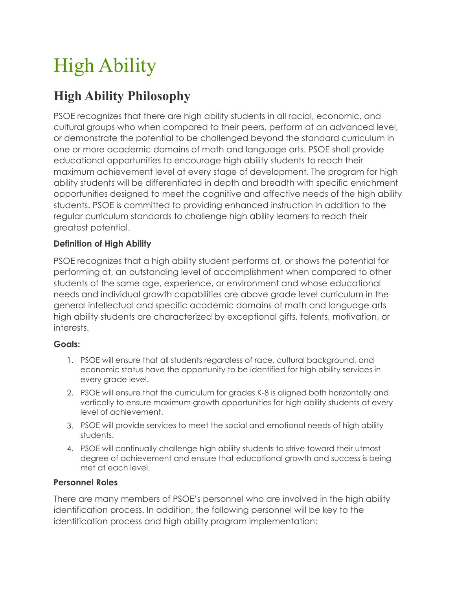# High Ability

# **High Ability Philosophy**

PSOE recognizes that there are high ability students in all racial, economic, and cultural groups who when compared to their peers, perform at an advanced level, or demonstrate the potential to be challenged beyond the standard curriculum in one or more academic domains of math and language arts. PSOE shall provide educational opportunities to encourage high ability students to reach their maximum achievement level at every stage of development. The program for high ability students will be differentiated in depth and breadth with specific enrichment opportunities designed to meet the cognitive and affective needs of the high ability students. PSOE is committed to providing enhanced instruction in addition to the regular curriculum standards to challenge high ability learners to reach their greatest potential.

# **Definition of High Ability**

PSOE recognizes that a high ability student performs at, or shows the potential for performing at, an outstanding level of accomplishment when compared to other students of the same age, experience, or environment and whose educational needs and individual growth capabilities are above grade level curriculum in the general intellectual and specific academic domains of math and language arts high ability students are characterized by exceptional gifts, talents, motivation, or interests.

# **Goals:**

- 1. PSOE will ensure that all students regardless of race, cultural background, and economic status have the opportunity to be identified for high ability services in every grade level.
- 2. PSOE will ensure that the curriculum for grades K-8 is aligned both horizontally and vertically to ensure maximum growth opportunities for high ability students at every level of achievement.
- 3. PSOE will provide services to meet the social and emotional needs of high ability students.
- 4. PSOE will continually challenge high ability students to strive toward their utmost degree of achievement and ensure that educational growth and success is being met at each level.

# **Personnel Roles**

There are many members of PSOE's personnel who are involved in the high ability identification process. In addition, the following personnel will be key to the identification process and high ability program implementation: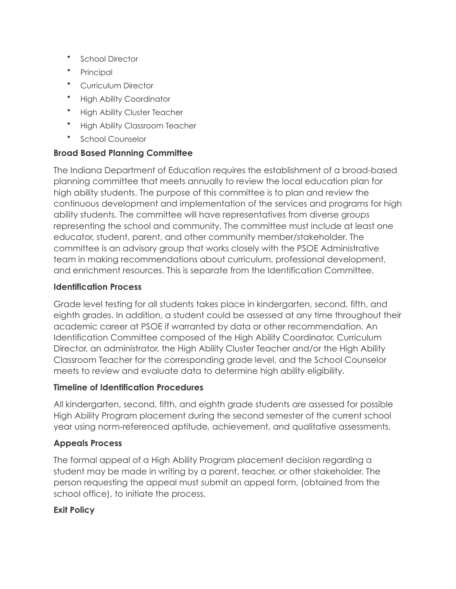- School Director
- Principal
- Curriculum Director
- High Ability Coordinator
- High Ability Cluster Teacher
- High Ability Classroom Teacher
- School Counselor

## **Broad Based Planning Committee**

The Indiana Department of Education requires the establishment of a broad-based planning committee that meets annually to review the local education plan for high ability students. The purpose of this committee is to plan and review the continuous development and implementation of the services and programs for high ability students. The committee will have representatives from diverse groups representing the school and community. The committee must include at least one educator, student, parent, and other community member/stakeholder. The committee is an advisory group that works closely with the PSOE Administrative team in making recommendations about curriculum, professional development, and enrichment resources. This is separate from the Identification Committee.

#### **Identification Process**

Grade level testing for all students takes place in kindergarten, second, fifth, and eighth grades. In addition, a student could be assessed at any time throughout their academic career at PSOE if warranted by data or other recommendation. An Identification Committee composed of the High Ability Coordinator, Curriculum Director, an administrator, the High Ability Cluster Teacher and/or the High Ability Classroom Teacher for the corresponding grade level, and the School Counselor meets to review and evaluate data to determine high ability eligibility.

#### **Timeline of Identification Procedures**

All kindergarten, second, fifth, and eighth grade students are assessed for possible High Ability Program placement during the second semester of the current school year using norm-referenced aptitude, achievement, and qualitative assessments.

#### **Appeals Process**

The formal appeal of a High Ability Program placement decision regarding a student may be made in writing by a parent, teacher, or other stakeholder. The person requesting the appeal must submit an appeal form, (obtained from the school office), to initiate the process.

#### **Exit Policy**